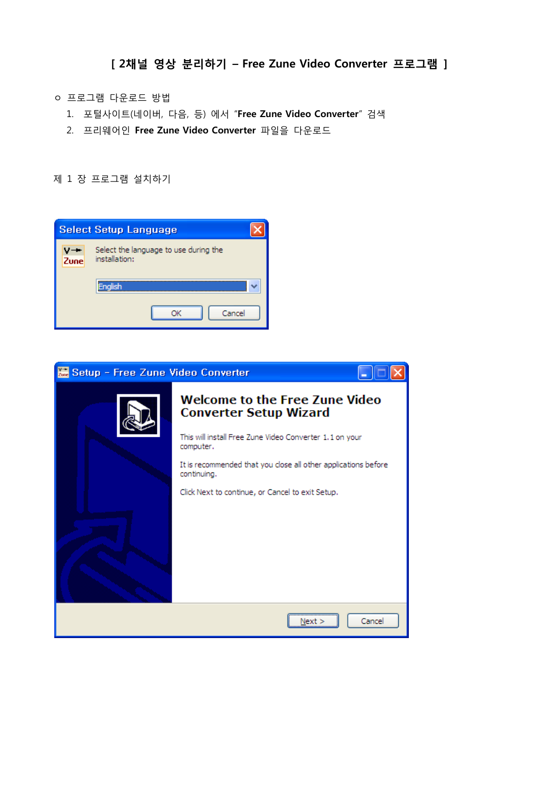- ㅇ 프로그램 다운로드 방법
	- 1. 포털사이트(네이버, 다음, 등) 에서 "Free Zune Video Converter" 검색
	- 2. 프리웨어인 Free Zune Video Converter 파일을 다운로드

제 1 장 프로그램 설치하기

|                                                                | <b>Select Setup Language</b> |  |  |  |  |  |  |  |
|----------------------------------------------------------------|------------------------------|--|--|--|--|--|--|--|
| Select the language to use during the<br>Zune<br>installation: |                              |  |  |  |  |  |  |  |
|                                                                | <b>English</b>               |  |  |  |  |  |  |  |
|                                                                | Cancel                       |  |  |  |  |  |  |  |

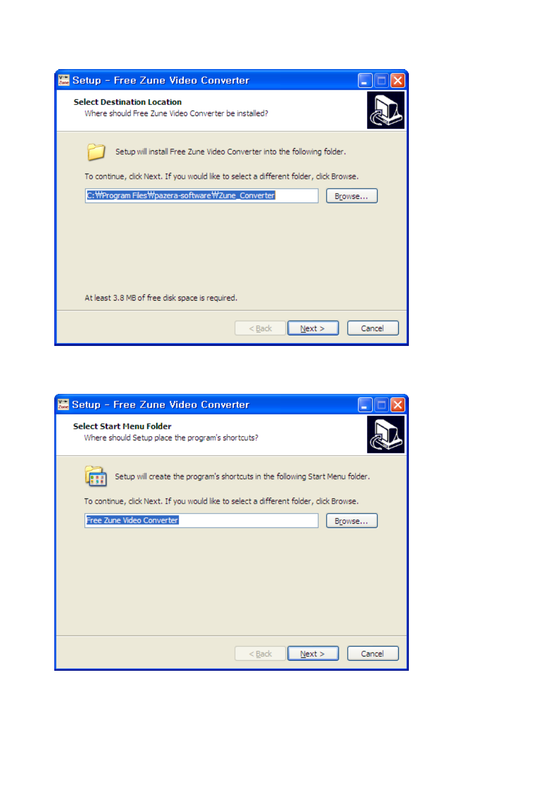| Setup - Free Zune Video Converter                                                          |
|--------------------------------------------------------------------------------------------|
| <b>Select Destination Location</b><br>Where should Free Zune Video Converter be installed? |
| Setup will install Free Zune Video Converter into the following folder.                    |
| To continue, click Next. If you would like to select a different folder, click Browse.     |
| C:\Program Files\pazera-software\Zune_Converter<br>Browse                                  |
|                                                                                            |
|                                                                                            |
|                                                                                            |
|                                                                                            |
| At least 3.8 MB of free disk space is required.                                            |
| Cancel<br>$<$ Back<br>Next                                                                 |

| Setup - Free Zune Video Converter                                                      |
|----------------------------------------------------------------------------------------|
| <b>Select Start Menu Folder</b><br>Where should Setup place the program's shortcuts?   |
| Setup will create the program's shortcuts in the following Start Menu folder.          |
| To continue, click Next. If you would like to select a different folder, click Browse. |
| Free Zune Video Converter<br>Browse                                                    |
|                                                                                        |
|                                                                                        |
|                                                                                        |
|                                                                                        |
|                                                                                        |
|                                                                                        |
| Next<br>Cancel<br>$<$ Back                                                             |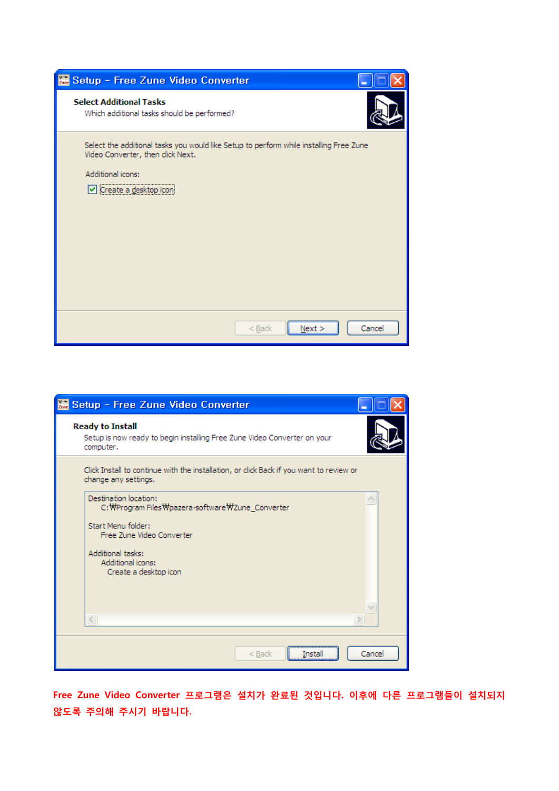| Setup - Free Zune Video Converter                                                                                                                                         |        |
|---------------------------------------------------------------------------------------------------------------------------------------------------------------------------|--------|
| <b>Select Additional Tasks</b><br>Which additional tasks should be performed?                                                                                             |        |
| Select the additional tasks you would like Setup to perform while installing Free Zune<br>Video Converter, then click Next.<br>Additional icons:<br>Create a desktop icon |        |
| Next ><br>< Back                                                                                                                                                          | Cancel |

| Setup - Free Zune Video Converter                                                                                |
|------------------------------------------------------------------------------------------------------------------|
| <b>Ready to Install</b><br>Setup is now ready to begin installing Free Zune Video Converter on your<br>computer. |
| Click Install to continue with the installation, or click Back if you want to review or<br>change any settings.  |
| Destination location:<br>C: WProgram Files Wpazera-software WZune_Converter                                      |
| Start Menu folder:<br>Free Zune Video Converter                                                                  |
| Additional tasks:<br>Additional icons:<br>Create a desktop icon                                                  |
| $\,<$                                                                                                            |
| Cancel<br>$<$ Back                                                                                               |

Free Zune Video Converter 프로그램은 설치가 완료된 것입니다. 이후에 다른 프로그램들이 설치되지 않도록 주의해 주시기 바랍니다.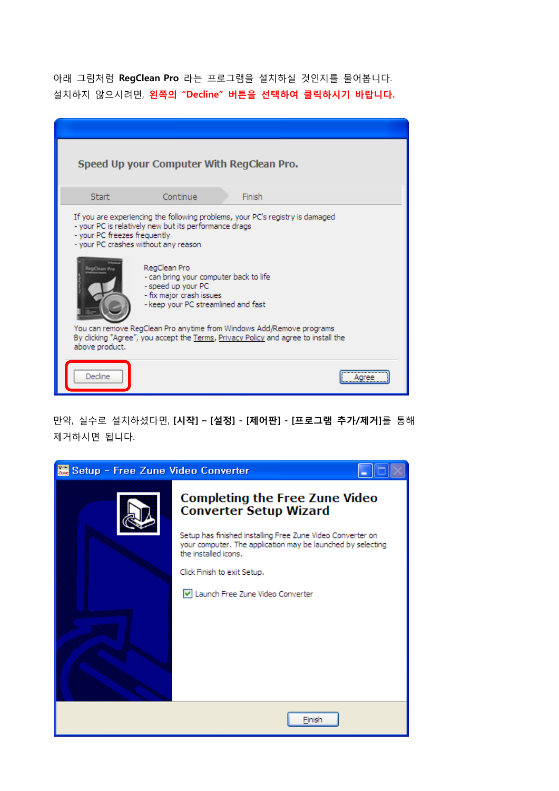아래 그림처럼 RegClean Pro 라는 프로그램을 설치하실 것인지를 물어봅니다. 설치하지 않으시려면, 왼쪽의 "Decline" 버튼을 선택하여 클릭하시기 바랍니다.

|                                                                      |                                                                                                                                                 | Speed Up your Computer With RegClean Pro.                                                                                                                  |  |
|----------------------------------------------------------------------|-------------------------------------------------------------------------------------------------------------------------------------------------|------------------------------------------------------------------------------------------------------------------------------------------------------------|--|
| <b>Start</b>                                                         | Continue                                                                                                                                        | Finish                                                                                                                                                     |  |
| - your PC freezes frequently<br>- your PC crashes without any reason | - your PC is relatively new but its performance drags                                                                                           | If you are experiencing the following problems, your PC's registry is damaged                                                                              |  |
| RegClass Pri                                                         | RegClean Pro<br>- can bring your computer back to life<br>- speed up your PC<br>- fix major crash issues<br>- keep your PC streamlined and fast |                                                                                                                                                            |  |
| above product.                                                       |                                                                                                                                                 | You can remove RegClean Pro anytime from Windows Add/Remove programs<br>By clicking "Agree", you accept the Terms, Privacy Policy and agree to install the |  |
| Decline                                                              |                                                                                                                                                 |                                                                                                                                                            |  |

만약, 실수로 설치하셨다면, [시작] – [설정] - [제어판] - [프로그램 추가/제거]를 통해 제거하시면 됩니다.

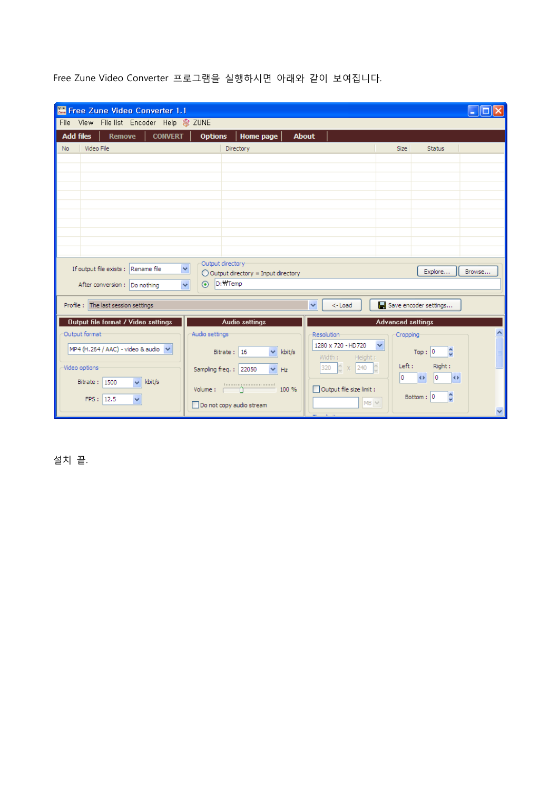| Free Zune Video Converter 1.1                                       |                                                                       |                                               |                   |                                         |                          |                                               |                         |
|---------------------------------------------------------------------|-----------------------------------------------------------------------|-----------------------------------------------|-------------------|-----------------------------------------|--------------------------|-----------------------------------------------|-------------------------|
| File View File list Encoder Help & ZUNE<br><b>Add files</b>         |                                                                       |                                               | <b>About</b>      |                                         |                          |                                               |                         |
| <b>CONVERT</b><br><b>Remove</b><br>Video File<br><b>No</b>          | <b>Options</b>                                                        | <b>Home page</b><br>Directory                 |                   |                                         | <b>Size</b>              | <b>Status</b>                                 |                         |
|                                                                     |                                                                       |                                               |                   |                                         |                          |                                               |                         |
|                                                                     |                                                                       |                                               |                   |                                         |                          |                                               |                         |
|                                                                     |                                                                       |                                               |                   |                                         |                          |                                               |                         |
|                                                                     |                                                                       |                                               |                   |                                         |                          |                                               |                         |
|                                                                     |                                                                       |                                               |                   |                                         |                          |                                               |                         |
|                                                                     |                                                                       |                                               |                   |                                         |                          |                                               |                         |
|                                                                     |                                                                       |                                               |                   |                                         |                          |                                               |                         |
|                                                                     |                                                                       |                                               |                   |                                         |                          |                                               |                         |
| If output file exists : Rename file<br>After conversion: Do nothing | Output directory<br>$\ddot{\phantom{1}}$<br>⊙ D:\Temp<br>$\checkmark$ | $\bigcirc$ Output directory = Input directory |                   |                                         |                          | Explore                                       | Browse                  |
| Profile : The last session settings                                 |                                                                       |                                               | $\checkmark$      | <-Load                                  |                          | Save encoder settings                         |                         |
| Output file format / Video settings                                 |                                                                       | <b>Audio settings</b>                         |                   |                                         | <b>Advanced settings</b> |                                               |                         |
| Output format                                                       | Audio settings                                                        |                                               | <b>Resolution</b> |                                         | Cropping                 |                                               | ᅕ                       |
| MP4 (H.264 / AAC) - video & audio V                                 | Bitrate: $16$                                                         | kbit/s                                        |                   | 1280 x 720 - HD720<br>Height:<br>Width: | $\checkmark$             | Top: 0                                        |                         |
| Video options:                                                      | Sampling freq.: 22050                                                 | Hz                                            | 320               | 240<br>$\hat{z}$ x                      | Left:                    | Right:                                        |                         |
| Bitrate: 1500<br>$\overline{\mathbf{v}}$<br>kbit/s                  | Volume : [                                                            | 1000000000000000000<br>100 %                  |                   | Output file size limit :                | lo.                      | lo.<br>$\leftrightarrow$<br>$\leftrightarrow$ |                         |
| FPS: 12.5<br>v                                                      | Do not copy audio stream                                              |                                               |                   |                                         | $MS \vee$                | Bottom: 0                                     | $\overline{\mathbf{v}}$ |

Free Zune Video Converter 프로그램을 실행하시면 아래와 같이 보여집니다.

설치 끝.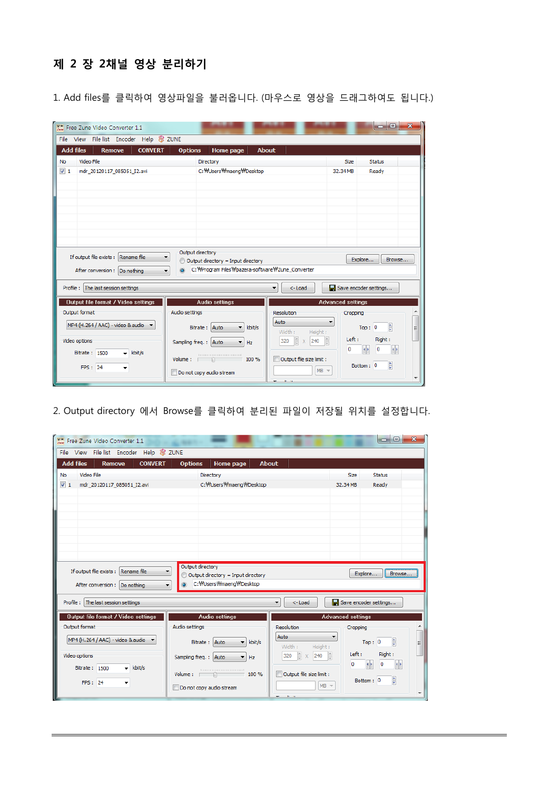## 제 2 장 2채널 영상 분리하기

1. Add files를 클릭하여 영상파일을 불러옵니다. (마우스로 영상을 드래그하여도 됩니다.)

| Free Zune Video Converter 1.1<br>File View File list Encoder Help & ZUNE                                                   |                                                                                                                         |                                                                                      | F.                                                                                                              |
|----------------------------------------------------------------------------------------------------------------------------|-------------------------------------------------------------------------------------------------------------------------|--------------------------------------------------------------------------------------|-----------------------------------------------------------------------------------------------------------------|
| <b>Add files</b><br><b>CONVERT</b><br><b>Remove</b><br>Video File<br><b>No</b><br>$\sqrt{1}$<br>mdr_20120117_085051_I2.avi | <b>Options</b><br>Home page<br>Directory<br>C: WUsers Wmaeng WDesktop                                                   | <b>About</b><br><b>Size</b><br>32.34 MB                                              | Status<br>Ready                                                                                                 |
| If output file exists : Rename file<br>After conversion : Do nothing                                                       | Output directory<br>Output directory = Input directory<br>C: WProgram Files Wpazera-software WZune Converter<br>$\odot$ |                                                                                      | Explore<br>Browse                                                                                               |
| Profile : The last session settings<br>Output file format / Video settings                                                 | <b>Audio settings</b>                                                                                                   | $<$ -Load<br><b>Advanced settings</b>                                                | Save encoder settings                                                                                           |
| Output format<br>MP4 (H. 264 / AAC) - video & audio<br>Video options                                                       | Audio settings<br>Bitrate: Auto<br>kbit/s<br>Sampling freq.: Auto<br>Hz                                                 | <b>Resolution</b><br>Auto<br>Width:<br>Height:<br>톱<br>흠<br>$\times$ 240<br>320<br>0 | Cropping<br>틐<br>Top: 0<br>Ξ<br>Left:<br>Right:<br>$\left\Vert \cdot\right\Vert$<br>$\left  \cdot \right $<br>0 |
| Bitrate: 1500<br>$\overline{\phantom{a}}$ kbit/s<br>FPS: 24                                                                | 100001000000000000000<br>Volume: 100 %<br>Do not copy audio stream                                                      | Output file size limit :<br>$MB =$<br>$\mathbf{B}=\mathbf{B}$                        | $\frac{1}{\sqrt{2}}$<br>Bottom: 0                                                                               |

2. Output directory 에서 Browse를 클릭하여 분리된 파일이 저장될 위치를 설정합니다.

| Free Zune Video Converter 1.1                       |                                                                                |                                | $\Box$ e<br>$\mathbf{x}$                                            |
|-----------------------------------------------------|--------------------------------------------------------------------------------|--------------------------------|---------------------------------------------------------------------|
| File View File list Encoder Help & ZUNE             |                                                                                |                                |                                                                     |
| <b>CONVERT</b><br><b>Add files</b><br>Remove        | <b>Options</b><br><b>Home page</b>                                             | <b>About</b>                   |                                                                     |
| Video File<br>No                                    | Directory                                                                      |                                | <b>Status</b><br>Size                                               |
| $\sqrt{1}$<br>mdr 20120117 085051 I2.avi            | C: WUsers Wmaeng WDesktop                                                      |                                | 32.34 MB<br>Readv                                                   |
|                                                     |                                                                                |                                |                                                                     |
|                                                     |                                                                                |                                |                                                                     |
|                                                     |                                                                                |                                |                                                                     |
|                                                     |                                                                                |                                |                                                                     |
|                                                     |                                                                                |                                |                                                                     |
| If output file exists : Rename file                 | Output directory<br>$\blacktriangledown$<br>Output directory = Input directory |                                | Explore<br>Browse                                                   |
| After conversion : Do nothing                       | C: WUsers Wmaeng WDesktop<br>$\overline{\phantom{a}}$                          |                                |                                                                     |
| Profile : The last session settings                 |                                                                                | <-Load                         | Save encoder settings                                               |
| Output file format / Video settings                 | <b>Audio settings</b>                                                          |                                | <b>Advanced settings</b>                                            |
| Output format                                       | Audio settings                                                                 | <b>Resolution</b>              | Cropping                                                            |
| MP4 (H.264 / AAC) - video & audio ▼                 | Bitrate: Auto<br>kbit/s                                                        | Auto<br>▼<br>Width:<br>Height: | ÷<br>Top: 0<br>Ξ                                                    |
| Video options                                       | Sampling freq.: Auto<br>Hz                                                     | ÷<br>L-<br>240<br>320          | Right:<br>Left:<br>$\left\vert \cdot \right\rangle$<br>0<br>۹Þ<br>0 |
| Bitrate: 1500<br>kbit/s<br>$\overline{\phantom{a}}$ | 1000000000000000000000<br>$Volume:$ 100 %                                      | Output file size limit :       |                                                                     |
| FPS: 24                                             | Do not copy audio stream                                                       | $MB$ $\sim$                    | 븕<br>Bottom: 0                                                      |
|                                                     |                                                                                |                                |                                                                     |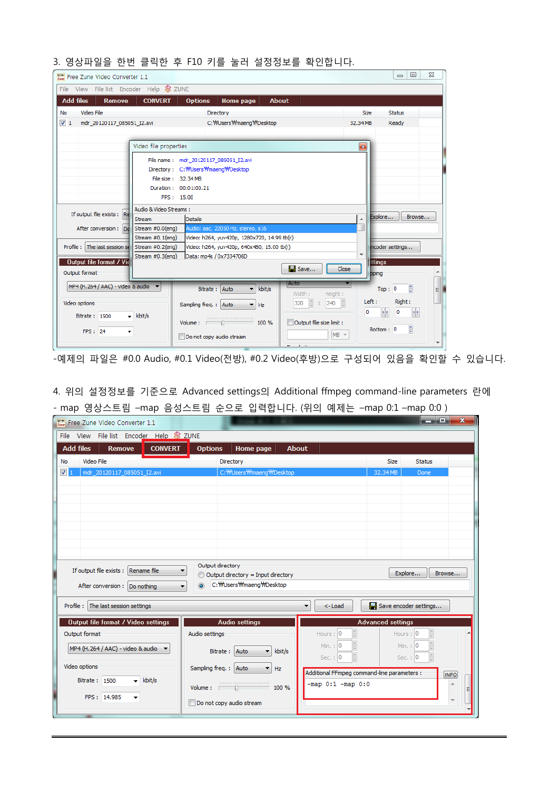|  |  |  |  |  |  |  |  |  | 3. 영상파일을 한번 클릭한 후 F10 키를 눌러 설정정보를 확인합니다. |
|--|--|--|--|--|--|--|--|--|------------------------------------------|
|--|--|--|--|--|--|--|--|--|------------------------------------------|

| Free Zune Video Converter 1.1            |                              |                                             |                              |                                           | $\qquad \qquad \Box$<br>$\Sigma$<br>$\qquad \qquad \Box$   |
|------------------------------------------|------------------------------|---------------------------------------------|------------------------------|-------------------------------------------|------------------------------------------------------------|
| File View File list Encoder Help & ZUNE  |                              |                                             |                              |                                           |                                                            |
| <b>Add files</b><br><b>Remove</b>        | <b>CONVERT</b>               | <b>Options</b><br>Home page                 | <b>About</b>                 |                                           |                                                            |
| Video File<br><b>No</b>                  |                              | Directory                                   |                              | <b>Size</b>                               | <b>Status</b>                                              |
| $\sqrt{1}$<br>mdr 20120117 085051 I2.avi |                              | C: WUsers Wmaeng WDesktop                   |                              | 32.34 MB                                  | Ready                                                      |
|                                          |                              |                                             |                              |                                           |                                                            |
|                                          | Video file properties        |                                             |                              | $\vert x \vert$                           |                                                            |
|                                          |                              | File name: mdr 20120117 085051 I2.avi       |                              |                                           |                                                            |
|                                          |                              | Directory: C:\/Users\/maeng\/Desktop        |                              |                                           |                                                            |
|                                          | File size: 32.34 MB          |                                             |                              |                                           |                                                            |
|                                          | Duration: 00:01:00.21        |                                             |                              |                                           |                                                            |
|                                          | FPS: 15.00                   |                                             |                              |                                           |                                                            |
|                                          | Audio & Video Streams:       |                                             |                              |                                           |                                                            |
| If output file exists : Re               | Stream                       | Details                                     |                              |                                           | Explore<br>Browse                                          |
| After conversion: Dd                     | Stream #0.0(eng)             | Audio: aac, 22050 Hz, stereo, s16           |                              |                                           |                                                            |
|                                          | Stream #0.1(eng)             | Video: h264, yuv420p, 1280x720, 14.99 tb(r) |                              |                                           |                                                            |
| Profile: The last session se             | Stream #0.2(eng)             | Video: h264, yuv420p, 640x480, 15.00 tb(r)  |                              |                                           | ncoder settings                                            |
| <b>Output file format / Vid</b>          | Stream #0.3(eng)             | Data: mp4s / 0x7334706D                     |                              | $\overline{\phantom{a}}$<br><b>ttings</b> |                                                            |
| Output format                            |                              |                                             | $\blacksquare$ Save<br>Close | <b>b</b> ping                             |                                                            |
|                                          |                              |                                             | Auto                         |                                           |                                                            |
| MP4 (H.264 / AAC) - video & audio        |                              | Auto<br>kbit/s<br>Bitrate:<br>٠             | Width:<br>Height:            |                                           | ŧ<br>Top: 0<br>Ξ                                           |
| Video options                            |                              | Sampling freq.: Auto<br>۰<br>Hz             | 240<br>320<br>$\mathbf x$    | Left:                                     | Right:                                                     |
| Bitrate: 1500                            | $\blacktriangleright$ kbit/s |                                             |                              | 0                                         | $\bullet$ $\bullet$<br>$\left\vert \cdot \right\vert$<br>0 |
|                                          |                              | 100 %<br>Volume:                            | Output file size limit :     |                                           |                                                            |
| FPS: 24                                  |                              | Do not copy audio stream                    | $MB =$                       |                                           | ₿<br>Bottom: 0                                             |
|                                          |                              |                                             | $10 - 24$                    |                                           |                                                            |

-예제의 파일은 #0.0 Audio, #0.1 Video(전방), #0.2 Video(후방)으로 구성되어 있음을 확인할 수 있습니다.

4. 위의 설정정보를 기준으로 Advanced settings의 Additional ffmpeg command-line parameters 란에 - map 영상스트림 –map 음성스트림 순으로 입력합니다. (위의 예제는 –map 0:1 –map 0:0 )

| Free Zune Video Converter 1.1                       |                                                                                   |                                             |                              | والمساو<br>$\mathbf{x}$        |
|-----------------------------------------------------|-----------------------------------------------------------------------------------|---------------------------------------------|------------------------------|--------------------------------|
| File View File list Encoder Help & ZUNE             |                                                                                   |                                             |                              |                                |
| <b>Add files</b><br><b>CONVERT</b><br><b>Remove</b> | <b>Options</b><br>Home page                                                       | <b>About</b>                                |                              |                                |
| Video File<br>No                                    | Directory                                                                         |                                             | <b>Status</b><br><b>Size</b> |                                |
| $\sqrt{1}$<br>mdr_20120117_085051_I2.avi            | C: WUsers Wmaeng WDesktop                                                         |                                             | 32.34 MB<br>Done             |                                |
|                                                     |                                                                                   |                                             |                              |                                |
|                                                     |                                                                                   |                                             |                              |                                |
|                                                     |                                                                                   |                                             |                              |                                |
|                                                     |                                                                                   |                                             |                              |                                |
|                                                     |                                                                                   |                                             |                              |                                |
|                                                     |                                                                                   |                                             |                              |                                |
| If output file exists : Rename file                 | Output directory<br>▼                                                             |                                             |                              |                                |
|                                                     | Output directory = Input directory<br>C: WUsers Wmaeng WDesktop<br>$\circledcirc$ |                                             | Explore                      | Browse                         |
| After conversion : Do nothing                       |                                                                                   |                                             |                              |                                |
| Profile : The last session settings                 |                                                                                   | $\overline{\phantom{a}}$<br>$<$ -Load       | Save encoder settings        |                                |
| Output file format / Video settings                 | <b>Audio settings</b>                                                             |                                             | <b>Advanced settings</b>     |                                |
| Output format                                       | Audio settings                                                                    | Hours: 0                                    | Hours: 0                     | $\frac{1}{\sqrt{2}}$           |
| MP4 (H.264 / AAC) - video & audio $\bullet$         | Bitrate: Auto<br>kbit/s<br>۰                                                      | Min. : 0                                    | Min.: 0                      | $\frac{1}{\sqrt{2}}$           |
| Video options                                       | ۰                                                                                 | Sec. : $ 0 $                                | Sec. : $ 0 $                 | $\frac{\triangle}{\mathbf{v}}$ |
| $\overline{\phantom{a}}$ kbit/s<br>Bitrate: 1500    | Sampling freq.: Auto<br>Hz                                                        | Additional FFmpeg command-line parameters : |                              | <b>INFO</b>                    |
|                                                     | Volume: $\Box$<br>100 %<br>Ĥ.                                                     | $-map 0:1 - map 0:0$                        |                              |                                |
| FPS: 14.985                                         | Do not copy audio stream                                                          |                                             |                              |                                |
| $\equiv$                                            |                                                                                   |                                             |                              |                                |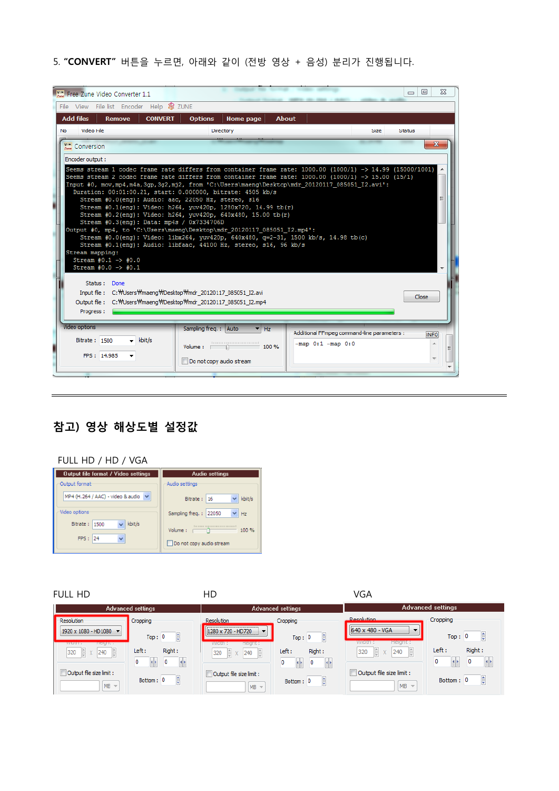5. "CONVERT" 버튼을 누르면, 아래와 같이 (전방 영상 + 음성) 분리가 진행됩니다.

|  | <b>Will Free Zune Video Converter 1.1</b>                                                                                                                                                                                                                                                                                                                                                              |                                                    |                                                                      |             | $\Sigma$<br>回<br>$\Box$ |  |
|--|--------------------------------------------------------------------------------------------------------------------------------------------------------------------------------------------------------------------------------------------------------------------------------------------------------------------------------------------------------------------------------------------------------|----------------------------------------------------|----------------------------------------------------------------------|-------------|-------------------------|--|
|  | File View File list Encoder Help & ZUNE<br><b>Add files</b><br><b>CONVERT</b><br><b>Remove</b>                                                                                                                                                                                                                                                                                                         | <b>Options</b><br>Home page<br><b>About</b>        |                                                                      |             |                         |  |
|  | Video File<br>No.                                                                                                                                                                                                                                                                                                                                                                                      | Directory                                          |                                                                      | <b>Size</b> | Status                  |  |
|  | Conversion                                                                                                                                                                                                                                                                                                                                                                                             |                                                    |                                                                      |             | $\mathbf x$             |  |
|  | Encoder output:                                                                                                                                                                                                                                                                                                                                                                                        |                                                    |                                                                      |             |                         |  |
|  | Seems stream 1 codec frame rate differs from container frame rate: 1000.00 (1000/1) -> 14.99 (15000/1001)<br>Seems stream 2 codec frame rate differs from container frame rate: 1000.00 (1000/1) -> 15.00 (15/1)<br>Input #0, mov,mp4,m4a,3gp,3g2,mj2, from 'C:\Users\maeng\Desktop\mdr 20120117 085051 I2.avi':<br>Stream #0.0(eng): Video: libx264, yuv420p, 640x480, q=2-31, 1500 kb/s, 14.98 tb(c) | Close                                              |                                                                      |             |                         |  |
|  | <b>Video options</b><br>$\overline{\phantom{a}}$ kbit/s<br>Bitrate: 1500                                                                                                                                                                                                                                                                                                                               | Sampling freg.: Auto<br>Hz<br>Volume:<br>$=$ 100 % | Additional FFmpeg command-line parameters :<br>$-map$ 0:1 $-map$ 0:0 |             | <b>INFO</b>             |  |
|  | FPS: 14.985                                                                                                                                                                                                                                                                                                                                                                                            | Do not copy audio stream                           |                                                                      |             |                         |  |

## 참고) 영상 해상도별 설정값

| FULL HD / HD / VGA                                    |                                              |  |  |  |  |  |
|-------------------------------------------------------|----------------------------------------------|--|--|--|--|--|
| Output file format / Video settings                   | <b>Audio settings</b>                        |  |  |  |  |  |
| Output format:                                        | Audio settinas                               |  |  |  |  |  |
| MP4 (H.264 / AAC) - video & audio $\vee$              | kbit/s<br>16<br>Bitrate:                     |  |  |  |  |  |
| Video options                                         | Sampling freq.: 22050<br>Hz                  |  |  |  |  |  |
| kbit/s<br>Bitrate:<br>1500<br>$\checkmark$<br>FPS: 24 | 100 %<br>Volume:<br>Do not copy audio stream |  |  |  |  |  |

FULL HD VGA

|                                                              | <b>Advanced settings</b>         | <b>Advanced settings</b><br><b>Advanced settings</b> |                            |                                              |                                                     |
|--------------------------------------------------------------|----------------------------------|------------------------------------------------------|----------------------------|----------------------------------------------|-----------------------------------------------------|
| <b>Resolution</b>                                            | Cropping                         | <b>Resolution</b>                                    | Cropping                   | <b>Decolution</b>                            | Cropping                                            |
| 1920 x 1080 - HD1080<br>$\mathbf{v}$                         | $\frac{1}{2}$<br>Top: 0          | 1280 x 720 - HD720<br>$\overline{\phantom{a}}$       | ŧ<br>Top: 0                | 640 x 480 - VGA<br>$\mathbf{r}$              | ŧ<br>0<br>Top:                                      |
| <b>WICIOT</b><br><b>TICKITL:</b><br>240<br>320<br><b>島 x</b> | Right:<br>Left :<br>0<br>0<br>ИÞ | <b>Height :</b><br>width :<br>240<br>320<br>EX.      | Right:<br>Left :<br>0<br>0 | Height:<br>width :<br>Lê,<br>320<br>240<br>X | Right:<br>Left:<br>$\left  \cdot \right $<br>٥<br>0 |
| Output file size limit :<br>$MB =$                           | ÷<br>Bottom: 0                   | Output file size limit :<br>$MB =$                   | ÷<br>Bottom: 0             | Output file size limit :<br>$MB =$           | 흫<br>0<br>Bottom:                                   |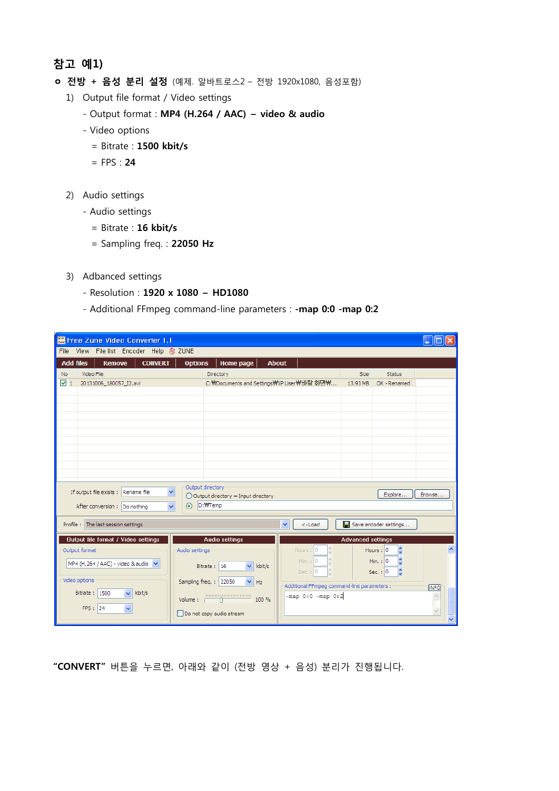## 참고 예1)

- ㅇ 전방 + 음성 분리 설정 (예제. 알바트로스2 전방 1920x1080, 음성포함)
	- 1) Output file format / Video settings
		- Output format : MP4 (H.264 / AAC) video & audio
		- Video options
			- = Bitrate : 1500 kbit/s
			- $=$  FPS : **24**
	- 2) Audio settings
		- Audio settings
			- = Bitrate : 16 kbit/s
			- = Sampling freq. : 22050 Hz
	- 3) Adbanced settings
		- Resolution : 1920 x 1080 HD1080
		- Additional FFmpeg command-line parameters : map 0:0 map 0:2

| 圖 Free Zune Video Converter 1.1                     |                        |                                                           |                                                             |                          |                               |                  |  |
|-----------------------------------------------------|------------------------|-----------------------------------------------------------|-------------------------------------------------------------|--------------------------|-------------------------------|------------------|--|
| File View File list Encoder Help & ZUNE             |                        |                                                           |                                                             |                          |                               |                  |  |
| <b>CONVERT</b><br><b>Add files</b><br><b>Remove</b> | <b>Options</b>         | <b>Home page</b>                                          | <b>About</b>                                                |                          |                               |                  |  |
| Video File<br>No.                                   |                        | Directory                                                 |                                                             | Size                     | <b>Status</b>                 |                  |  |
| $\triangledown$ 1<br>20131006_180057_I2.avi         |                        |                                                           | C: WDocuments and Settings WXP User WHI탕 화면\                | 13.93 MB                 | OK - Renamed                  |                  |  |
|                                                     |                        |                                                           |                                                             |                          |                               |                  |  |
|                                                     |                        |                                                           |                                                             |                          |                               |                  |  |
|                                                     |                        |                                                           |                                                             |                          |                               |                  |  |
|                                                     |                        |                                                           |                                                             |                          |                               |                  |  |
|                                                     |                        |                                                           |                                                             |                          |                               |                  |  |
|                                                     |                        |                                                           |                                                             |                          |                               |                  |  |
|                                                     |                        |                                                           |                                                             |                          |                               |                  |  |
|                                                     |                        |                                                           |                                                             |                          |                               |                  |  |
| If output file exists : Rename file                 | Output directory<br>v  |                                                           |                                                             |                          | Explore                       | Browse           |  |
| After conversion : Do nothing                       | $\ddotmark$<br>$\odot$ | $\bigcirc$ Output directory = Input directory<br>D: WTemp |                                                             |                          |                               |                  |  |
|                                                     |                        |                                                           |                                                             |                          |                               |                  |  |
| Profile : The last session settings                 |                        | v<br><-Load                                               |                                                             | Save encoder settings    |                               |                  |  |
| <b>Output file format / Video settings</b>          |                        | <b>Audio settings</b>                                     |                                                             | <b>Advanced settings</b> |                               |                  |  |
| Output format                                       | Audio settings         |                                                           | Hours: 0                                                    |                          | $\hat{\cdot}$<br>Hours: $ 0 $ | ㅅ                |  |
| MP4 (H.264 / AAC) - video & audio                   |                        | $\checkmark$<br>kbit/s<br>Bitrate: 16                     | Min. : 0                                                    |                          | ċ<br>Min. : 0                 |                  |  |
|                                                     |                        |                                                           | Sec. $: 0$                                                  |                          | ć<br>Sec. $: 0$               |                  |  |
| Video options                                       |                        | $\checkmark$<br>Sampling freq.: 22050<br>Hz               | Additional FFmpeg command-line parameters :-<br><b>INFO</b> |                          |                               |                  |  |
| kbit/s<br>Bitrate:<br>1500<br>$\checkmark$          | Volume:                | 1000000000000000000000<br>100 %                           | $-map 0:0 - map 0:2$                                        |                          |                               | $\triangleright$ |  |
| FPS: 24<br>$\ddotmark$                              |                        | Do not copy audio stream                                  |                                                             |                          |                               |                  |  |
|                                                     |                        |                                                           |                                                             |                          |                               | $\ddotmark$      |  |

"CONVERT" 버튼을 누르면, 아래와 같이 (전방 영상 + 음성) 분리가 진행됩니다.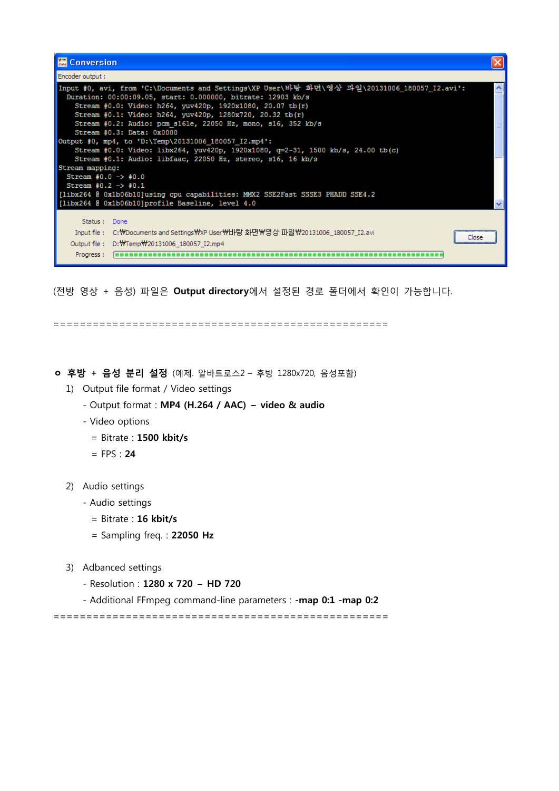

(전방 영상 + 음성) 파일은 Output directory에서 설정된 경로 폴더에서 확인이 가능합니다.

===================================================

ㅇ 후방 + 음성 분리 설정 (예제. 알바트로스2 – 후방 1280x720, 음성포함)

- 1) Output file format / Video settings
	- Output format : MP4 (H.264 / AAC) video & audio
	- Video options
		- = Bitrate : 1500 kbit/s
		- $=$  FPS : 24
- 2) Audio settings
	- Audio settings
		- = Bitrate : 16 kbit/s
		- $=$  Sampling freq. : 22050 Hz
- 3) Adbanced settings
	- Resolution : 1280 x 720 HD 720
	- Additional FFmpeg command-line parameters : map 0:1 map 0:2

===================================================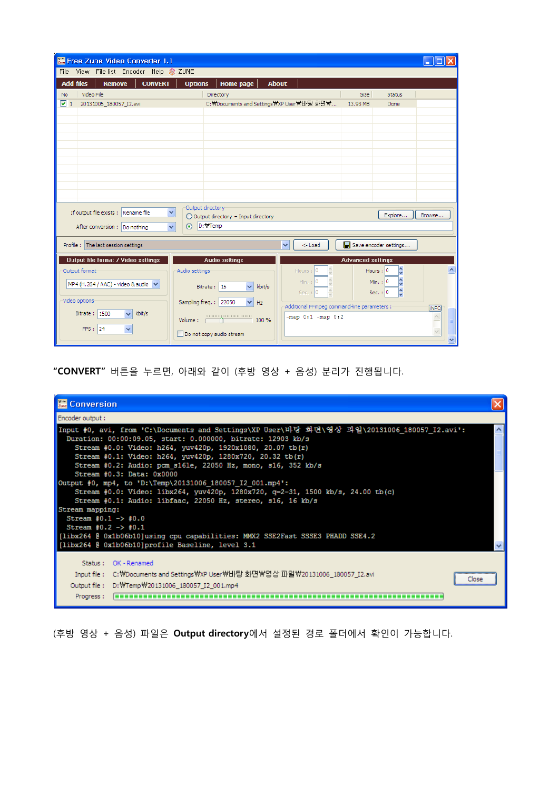| $\frac{V}{Z}$<br>Free Zune Video Converter 1.1                           |                                                    |                                               |                                              |             |
|--------------------------------------------------------------------------|----------------------------------------------------|-----------------------------------------------|----------------------------------------------|-------------|
| File View File list Encoder Help & ZUNE                                  |                                                    |                                               |                                              |             |
| <b>Add files</b><br><b>Remove</b><br><b>CONVERT</b><br>Video File<br>No. | <b>Options</b><br>Home page<br>Directory           | <b>About</b>                                  | <b>Size</b><br><b>Status</b>                 |             |
| ▽ 1<br>20131006_180057_I2.avi                                            |                                                    | C: \Documents and Settings \XP User \Hl 탕 화면₩ | 13.93 MB<br>Done                             |             |
|                                                                          |                                                    |                                               |                                              |             |
|                                                                          |                                                    |                                               |                                              |             |
|                                                                          |                                                    |                                               |                                              |             |
|                                                                          |                                                    |                                               |                                              |             |
|                                                                          |                                                    |                                               |                                              |             |
|                                                                          |                                                    |                                               |                                              |             |
|                                                                          |                                                    |                                               |                                              |             |
|                                                                          | Output directory                                   |                                               |                                              |             |
| If output file exists : Rename file                                      | Y<br>$\bigcirc$ Output directory = Input directory |                                               | Explore                                      | Browse      |
| After conversion : Do nothing                                            | ⊙ D: \Temp<br>$\checkmark$                         |                                               |                                              |             |
| Profile : The last session settings                                      |                                                    | $\checkmark$<br><-Load                        | Save encoder settings                        |             |
| <b>Output file format / Video settings</b>                               | <b>Audio settings</b>                              |                                               | <b>Advanced settings</b>                     |             |
| Output format                                                            | Audio settings                                     | Hours: $ 0 $                                  | ¢<br>Hours : 0                               |             |
| MP4 (H.264 / AAC) - video & audio v                                      | $\checkmark$<br>Bitrate: 16                        | Min. : 0<br>kbit/s                            | Min. : $ 0$                                  |             |
|                                                                          |                                                    | Sec. $: 0$                                    | Sec. $: 0$                                   |             |
| Video options<br>kbit/s                                                  | Sampling freq.: 22050                              | Hz                                            | Additional FFmpeg command-line parameters :- | <b>INFO</b> |
| Bitrate: 1500<br>$\overline{\mathbf{v}}$                                 | Volume:                                            | $-map 0:1 - map 0:2$<br>100 %                 |                                              |             |
| FPS: 24                                                                  | Do not copy audio stream                           |                                               |                                              |             |

"CONVERT" 버튼을 누르면, 아래와 같이 (후방 영상 + 음성) 분리가 진행됩니다.

| <b>温 Conversion</b>                                                                                                                                                                                                                                                                                                                                                                                                                                 |  |
|-----------------------------------------------------------------------------------------------------------------------------------------------------------------------------------------------------------------------------------------------------------------------------------------------------------------------------------------------------------------------------------------------------------------------------------------------------|--|
| Encoder output:                                                                                                                                                                                                                                                                                                                                                                                                                                     |  |
| Input #0, avi, from 'C:\Documents and Settings\XP User\바탕 화면\영상 과일\20131006 180057 I2.avi':<br>Duration: 00:00:09.05, start: 0.000000, bitrate: 12903 kb/s<br>Stream #0.0: Video: h264, yuv420p, 1920x1080, 20.07 tb(r)<br>Stream #0.1: Video: h264, yuv420p, 1280x720, 20.32 tb(r)<br>Stream #0.2: Audio: pcm s16le, 22050 Hz, mono, s16, 352 kb/s                                                                                                 |  |
| Stream #0.3: Data: 0x0000<br>Output #0, mp4, to 'D:\Temp\20131006 180057 I2 001.mp4':<br>Stream #0.0: Video: libx264, yuv420p, 1280x720, q=2-31, 1500 kb/s, 24.00 tb(c)<br>Stream #0.1: Audio: libfaac, 22050 Hz, stereo, s16, 16 kb/s<br>Stream mapping:<br>Stream $#0.1 - > #0.0$<br>Stream $+0.2$ -> $+0.1$<br>[libx264 @ 0x1b06b10]using cpu capabilities: MMX2 SSE2Fast SSSE3 PHADD SSE4.2<br>[libx264 @ 0x1b06b10]profile Baseline, level 3.1 |  |
| Status: OK - Renamed<br>Input file :    C:\Documents and Settings\XP User\Hl탕화면\XP영상파일\Z0131006_180057_I2.avi<br>Close<br>Output file: D: WTemp W20131006 180057 I2 001.mp4<br>Progress:                                                                                                                                                                                                                                                            |  |

(후방 영상 + 음성) 파일은 Output directory에서 설정된 경로 폴더에서 확인이 가능합니다.